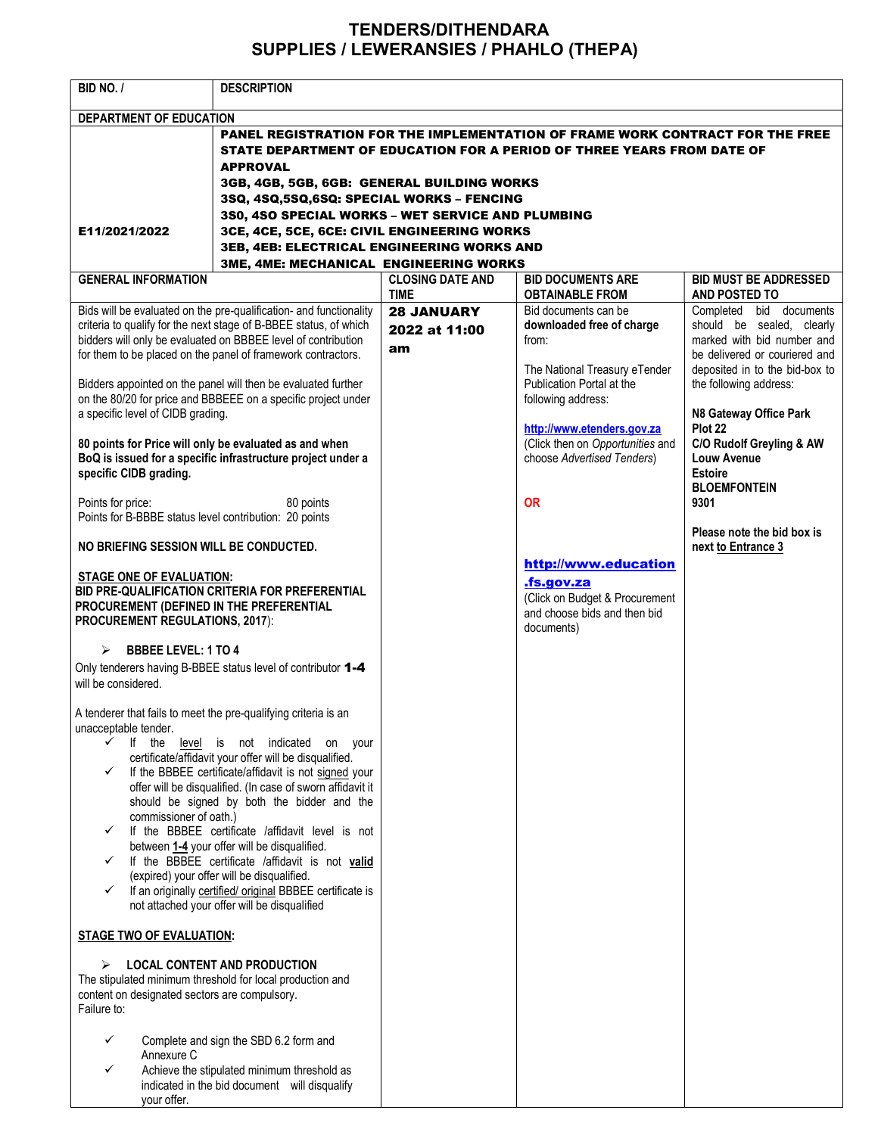## TENDERS/DITHENDARA SUPPLIES / LEWERANSIES / PHAHLO (THEPA)

| BID NO. /                                                                                                                                                                                                                                                                | <b>DESCRIPTION</b>                                                                                                                                                                                                                                                                                                                                                                                                                                                                                                                                                                      |                                          |                                                                                                                    |                                                                                                                                                       |  |  |
|--------------------------------------------------------------------------------------------------------------------------------------------------------------------------------------------------------------------------------------------------------------------------|-----------------------------------------------------------------------------------------------------------------------------------------------------------------------------------------------------------------------------------------------------------------------------------------------------------------------------------------------------------------------------------------------------------------------------------------------------------------------------------------------------------------------------------------------------------------------------------------|------------------------------------------|--------------------------------------------------------------------------------------------------------------------|-------------------------------------------------------------------------------------------------------------------------------------------------------|--|--|
| DEPARTMENT OF EDUCATION                                                                                                                                                                                                                                                  |                                                                                                                                                                                                                                                                                                                                                                                                                                                                                                                                                                                         |                                          |                                                                                                                    |                                                                                                                                                       |  |  |
|                                                                                                                                                                                                                                                                          | PANEL REGISTRATION FOR THE IMPLEMENTATION OF FRAME WORK CONTRACT FOR THE FREE<br>STATE DEPARTMENT OF EDUCATION FOR A PERIOD OF THREE YEARS FROM DATE OF<br><b>APPROVAL</b>                                                                                                                                                                                                                                                                                                                                                                                                              |                                          |                                                                                                                    |                                                                                                                                                       |  |  |
|                                                                                                                                                                                                                                                                          | 3GB, 4GB, 5GB, 6GB: GENERAL BUILDING WORKS                                                                                                                                                                                                                                                                                                                                                                                                                                                                                                                                              |                                          |                                                                                                                    |                                                                                                                                                       |  |  |
|                                                                                                                                                                                                                                                                          | 3SQ, 4SQ,5SQ,6SQ: SPECIAL WORKS - FENCING                                                                                                                                                                                                                                                                                                                                                                                                                                                                                                                                               |                                          |                                                                                                                    |                                                                                                                                                       |  |  |
|                                                                                                                                                                                                                                                                          | 3S0, 4SO SPECIAL WORKS - WET SERVICE AND PLUMBING                                                                                                                                                                                                                                                                                                                                                                                                                                                                                                                                       |                                          |                                                                                                                    |                                                                                                                                                       |  |  |
| E11/2021/2022                                                                                                                                                                                                                                                            | 3CE, 4CE, 5CE, 6CE: CIVIL ENGINEERING WORKS                                                                                                                                                                                                                                                                                                                                                                                                                                                                                                                                             |                                          |                                                                                                                    |                                                                                                                                                       |  |  |
|                                                                                                                                                                                                                                                                          | 3EB, 4EB: ELECTRICAL ENGINEERING WORKS AND                                                                                                                                                                                                                                                                                                                                                                                                                                                                                                                                              |                                          |                                                                                                                    |                                                                                                                                                       |  |  |
|                                                                                                                                                                                                                                                                          | 3ME, 4ME: MECHANICAL ENGINEERING WORKS                                                                                                                                                                                                                                                                                                                                                                                                                                                                                                                                                  |                                          |                                                                                                                    |                                                                                                                                                       |  |  |
| <b>GENERAL INFORMATION</b>                                                                                                                                                                                                                                               |                                                                                                                                                                                                                                                                                                                                                                                                                                                                                                                                                                                         | <b>CLOSING DATE AND</b><br><b>TIME</b>   | <b>BID DOCUMENTS ARE</b><br><b>OBTAINABLE FROM</b>                                                                 | <b>BID MUST BE ADDRESSED</b><br>AND POSTED TO                                                                                                         |  |  |
| Bids will be evaluated on the pre-qualification- and functionality<br>criteria to qualify for the next stage of B-BBEE status, of which<br>bidders will only be evaluated on BBBEE level of contribution<br>for them to be placed on the panel of framework contractors. |                                                                                                                                                                                                                                                                                                                                                                                                                                                                                                                                                                                         | <b>28 JANUARY</b><br>2022 at 11:00<br>am | Bid documents can be<br>downloaded free of charge<br>from:<br>The National Treasury eTender                        | Completed bid documents<br>should be sealed, clearly<br>marked with bid number and<br>be delivered or couriered and<br>deposited in to the bid-box to |  |  |
| Bidders appointed on the panel will then be evaluated further<br>on the 80/20 for price and BBBEEE on a specific project under                                                                                                                                           |                                                                                                                                                                                                                                                                                                                                                                                                                                                                                                                                                                                         |                                          | Publication Portal at the<br>following address:                                                                    | the following address:<br>N8 Gateway Office Park                                                                                                      |  |  |
| a specific level of CIDB grading.<br>80 points for Price will only be evaluated as and when<br>BoQ is issued for a specific infrastructure project under a<br>specific CIDB grading.                                                                                     |                                                                                                                                                                                                                                                                                                                                                                                                                                                                                                                                                                                         |                                          | http://www.etenders.gov.za<br>(Click then on Opportunities and<br>choose Advertised Tenders)                       | Plot 22<br>C/O Rudolf Greyling & AW<br><b>Louw Avenue</b><br><b>Estoire</b>                                                                           |  |  |
| Points for price:<br>Points for B-BBBE status level contribution: 20 points                                                                                                                                                                                              | 80 points                                                                                                                                                                                                                                                                                                                                                                                                                                                                                                                                                                               |                                          | <b>OR</b>                                                                                                          | <b>BLOEMFONTEIN</b><br>9301<br>Please note the bid box is                                                                                             |  |  |
| NO BRIEFING SESSION WILL BE CONDUCTED.                                                                                                                                                                                                                                   |                                                                                                                                                                                                                                                                                                                                                                                                                                                                                                                                                                                         |                                          |                                                                                                                    | next to Entrance 3                                                                                                                                    |  |  |
| <b>STAGE ONE OF EVALUATION:</b><br><b>BID PRE-QUALIFICATION CRITERIA FOR PREFERENTIAL</b><br>PROCUREMENT (DEFINED IN THE PREFERENTIAL<br><b>PROCUREMENT REGULATIONS, 2017):</b>                                                                                          |                                                                                                                                                                                                                                                                                                                                                                                                                                                                                                                                                                                         |                                          | http://www.education<br>.fs.gov.za<br>(Click on Budget & Procurement<br>and choose bids and then bid<br>documents) |                                                                                                                                                       |  |  |
| <b>BBBEE LEVEL: 1 TO 4</b><br>⋗<br>Only tenderers having B-BBEE status level of contributor 1-4<br>will be considered.                                                                                                                                                   |                                                                                                                                                                                                                                                                                                                                                                                                                                                                                                                                                                                         |                                          |                                                                                                                    |                                                                                                                                                       |  |  |
| A tenderer that fails to meet the pre-qualifying criteria is an<br>unacceptable tender.<br>lf<br>✓<br>the<br>✓<br>commissioner of oath.)<br>✓<br>✓<br>✓                                                                                                                  | level is not indicated<br>on<br>your<br>certificate/affidavit your offer will be disqualified.<br>If the BBBEE certificate/affidavit is not signed your<br>offer will be disqualified. (In case of sworn affidavit it<br>should be signed by both the bidder and the<br>If the BBBEE certificate /affidavit level is not<br>between 1-4 your offer will be disqualified.<br>If the BBBEE certificate /affidavit is not valid<br>(expired) your offer will be disqualified.<br>If an originally certified/ original BBBEE certificate is<br>not attached your offer will be disqualified |                                          |                                                                                                                    |                                                                                                                                                       |  |  |
| <b>STAGE TWO OF EVALUATION:</b>                                                                                                                                                                                                                                          |                                                                                                                                                                                                                                                                                                                                                                                                                                                                                                                                                                                         |                                          |                                                                                                                    |                                                                                                                                                       |  |  |
| <b>LOCAL CONTENT AND PRODUCTION</b><br>⋗<br>The stipulated minimum threshold for local production and<br>content on designated sectors are compulsory.<br>Failure to:                                                                                                    |                                                                                                                                                                                                                                                                                                                                                                                                                                                                                                                                                                                         |                                          |                                                                                                                    |                                                                                                                                                       |  |  |
| ✓<br>Annexure C<br>✓<br>your offer.                                                                                                                                                                                                                                      | Complete and sign the SBD 6.2 form and<br>Achieve the stipulated minimum threshold as<br>indicated in the bid document will disqualify                                                                                                                                                                                                                                                                                                                                                                                                                                                  |                                          |                                                                                                                    |                                                                                                                                                       |  |  |